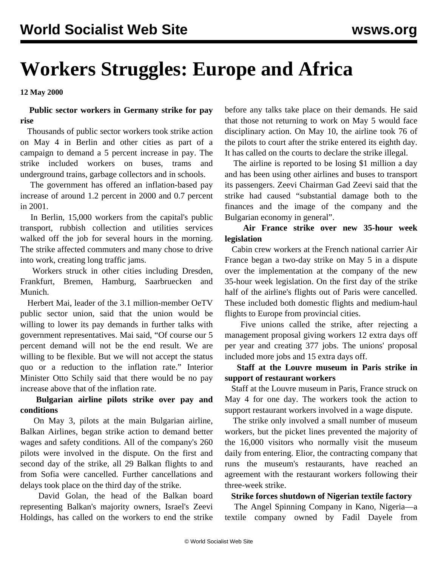# **Workers Struggles: Europe and Africa**

**12 May 2000**

## **Public sector workers in Germany strike for pay rise**

 Thousands of public sector workers took strike action on May 4 in Berlin and other cities as part of a campaign to demand a 5 percent increase in pay. The strike included workers on buses, trams and underground trains, garbage collectors and in schools.

 The government has offered an inflation-based pay increase of around 1.2 percent in 2000 and 0.7 percent in 2001.

 In Berlin, 15,000 workers from the capital's public transport, rubbish collection and utilities services walked off the job for several hours in the morning. The strike affected commuters and many chose to drive into work, creating long traffic jams.

 Workers struck in other cities including Dresden, Frankfurt, Bremen, Hamburg, Saarbruecken and Munich.

 Herbert Mai, leader of the 3.1 million-member OeTV public sector union, said that the union would be willing to lower its pay demands in further talks with government representatives. Mai said, "Of course our 5 percent demand will not be the end result. We are willing to be flexible. But we will not accept the status quo or a reduction to the inflation rate." Interior Minister Otto Schily said that there would be no pay increase above that of the inflation rate.

# **Bulgarian airline pilots strike over pay and conditions**

 On May 3, pilots at the main Bulgarian airline, Balkan Airlines, began strike action to demand better wages and safety conditions. All of the company's 260 pilots were involved in the dispute. On the first and second day of the strike, all 29 Balkan flights to and from Sofia were cancelled. Further cancellations and delays took place on the third day of the strike.

 David Golan, the head of the Balkan board representing Balkan's majority owners, Israel's Zeevi Holdings, has called on the workers to end the strike

before any talks take place on their demands. He said that those not returning to work on May 5 would face disciplinary action. On May 10, the airline took 76 of the pilots to court after the strike entered its eighth day. It has called on the courts to declare the strike illegal.

 The airline is reported to be losing \$1 million a day and has been using other airlines and buses to transport its passengers. Zeevi Chairman Gad Zeevi said that the strike had caused "substantial damage both to the finances and the image of the company and the Bulgarian economy in general".

# **Air France strike over new 35-hour week legislation**

 Cabin crew workers at the French national carrier Air France began a two-day strike on May 5 in a dispute over the implementation at the company of the new 35-hour week legislation. On the first day of the strike half of the airline's flights out of Paris were cancelled. These included both domestic flights and medium-haul flights to Europe from provincial cities.

 Five unions called the strike, after rejecting a management proposal giving workers 12 extra days off per year and creating 377 jobs. The unions' proposal included more jobs and 15 extra days off.

#### **Staff at the Louvre museum in Paris strike in support of restaurant workers**

 Staff at the Louvre museum in Paris, France struck on May 4 for one day. The workers took the action to support restaurant workers involved in a wage dispute.

 The strike only involved a small number of museum workers, but the picket lines prevented the majority of the 16,000 visitors who normally visit the museum daily from entering. Elior, the contracting company that runs the museum's restaurants, have reached an agreement with the restaurant workers following their three-week strike.

#### **Strike forces shutdown of Nigerian textile factory**

 The Angel Spinning Company in Kano, Nigeria—a textile company owned by Fadil Dayele from